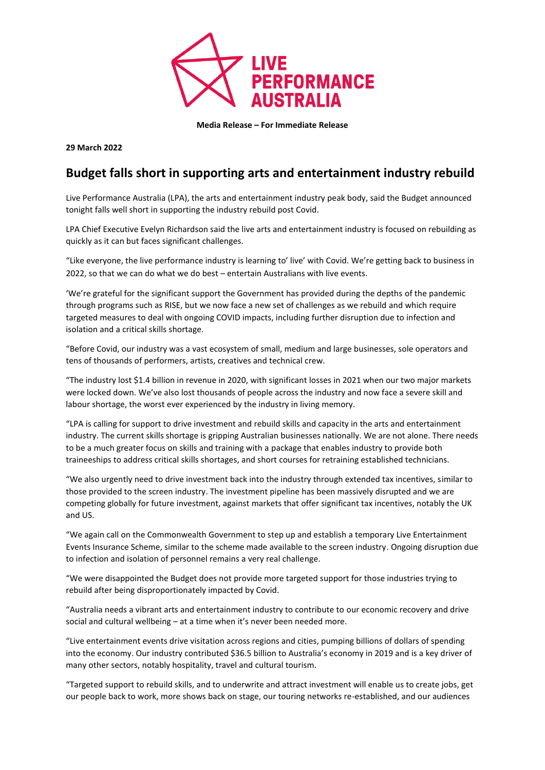

**Media Release – For Immediate Release**

**29 March 2022**

## **Budget falls short in supporting arts and entertainment industry rebuild**

Live Performance Australia (LPA), the arts and entertainment industry peak body, said the Budget announced tonight falls well short in supporting the industry rebuild post Covid.

LPA Chief Executive Evelyn Richardson said the live arts and entertainment industry is focused on rebuilding as quickly as it can but faces significant challenges.

"Like everyone, the live performance industry is learning to' live' with Covid. We're getting back to business in 2022, so that we can do what we do best – entertain Australians with live events.

'We're grateful for the significant support the Government has provided during the depths of the pandemic through programs such as RISE, but we now face a new set of challenges as we rebuild and which require targeted measures to deal with ongoing COVID impacts, including further disruption due to infection and isolation and a critical skills shortage.

"Before Covid, our industry was a vast ecosystem of small, medium and large businesses, sole operators and tens of thousands of performers, artists, creatives and technical crew.

"The industry lost \$1.4 billion in revenue in 2020, with significant losses in 2021 when our two major markets were locked down. We've also lost thousands of people across the industry and now face a severe skill and labour shortage, the worst ever experienced by the industry in living memory.

"LPA is calling for support to drive investment and rebuild skills and capacity in the arts and entertainment industry. The current skills shortage is gripping Australian businesses nationally. We are not alone. There needs to be a much greater focus on skills and training with a package that enables industry to provide both traineeships to address critical skills shortages, and short courses for retraining established technicians.

"We also urgently need to drive investment back into the industry through extended tax incentives, similar to those provided to the screen industry. The investment pipeline has been massively disrupted and we are competing globally for future investment, against markets that offer significant tax incentives, notably the UK and US.

"We again call on the Commonwealth Government to step up and establish a temporary Live Entertainment Events Insurance Scheme, similar to the scheme made available to the screen industry. Ongoing disruption due to infection and isolation of personnel remains a very real challenge.

"We were disappointed the Budget does not provide more targeted support for those industries trying to rebuild after being disproportionately impacted by Covid.

"Australia needs a vibrant arts and entertainment industry to contribute to our economic recovery and drive social and cultural wellbeing – at a time when it's never been needed more.

"Live entertainment events drive visitation across regions and cities, pumping billions of dollars of spending into the economy. Our industry contributed \$36.5 billion to Australia's economy in 2019 and is a key driver of many other sectors, notably hospitality, travel and cultural tourism.

"Targeted support to rebuild skills, and to underwrite and attract investment will enable us to create jobs, get our people back to work, more shows back on stage, our touring networks re-established, and our audiences